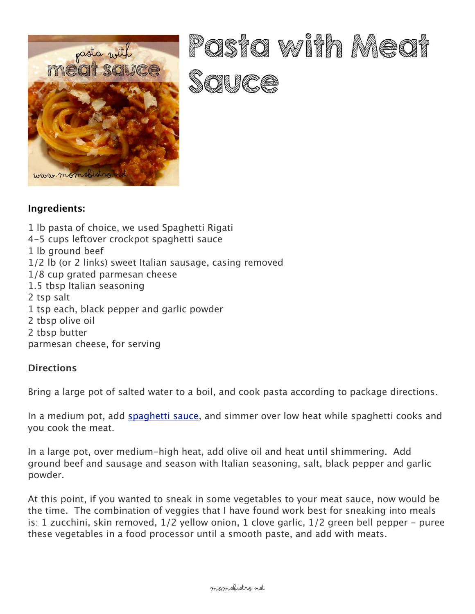

## Pasta with Macast Salt Gall (For File)

## **Ingredients:**

1 lb pasta of choice, we used Spaghetti Rigati 4-5 cups leftover crockpot spaghetti sauce 1 lb ground beef 1/2 lb (or 2 links) sweet Italian sausage, casing removed 1/8 cup grated parmesan cheese 1.5 tbsp Italian seasoning 2 tsp salt 1 tsp each, black pepper and garlic powder 2 tbsp olive oil 2 tbsp butter parmesan cheese, for serving

## **Directions**

Bring a large pot of salted water to a boil, and cook pasta according to package directions.

In a medium pot, add [spaghetti sauce](http://momsbistro.net/crockpot-spaghetti-sauce-recipe/), and simmer over low heat while spaghetti cooks and you cook the meat.

In a large pot, over medium-high heat, add olive oil and heat until shimmering. Add ground beef and sausage and season with Italian seasoning, salt, black pepper and garlic powder.

At this point, if you wanted to sneak in some vegetables to your meat sauce, now would be the time. The combination of veggies that I have found work best for sneaking into meals is: 1 zucchini, skin removed, 1/2 yellow onion, 1 clove garlic, 1/2 green bell pepper - puree these vegetables in a food processor until a smooth paste, and add with meats[.](http://momsbistro.net/wp-content/uploads/2015/06/IMG_5894.jpg)